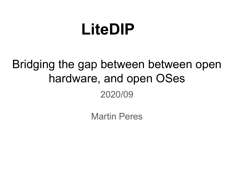# **LiteDIP**

## Bridging the gap between between open hardware, and open OSes 2020/09

Martin Peres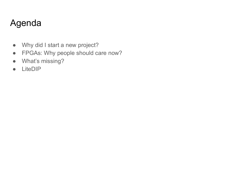## Agenda

- Why did I start a new project?
- FPGAs: Why people should care now?
- What's missing?
- LiteDIP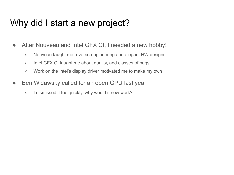#### Why did I start a new project?

- After Nouveau and Intel GFX CI, I needed a new hobby!
	- Nouveau taught me reverse engineering and elegant HW designs
	- Intel GFX CI taught me about quality, and classes of bugs
	- Work on the Intel's display driver motivated me to make my own
- Ben Widawsky called for an open GPU last year
	- I dismissed it too quickly, why would it now work?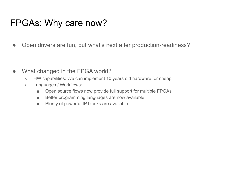## FPGAs: Why care now?

• Open drivers are fun, but what's next after production-readiness?

- What changed in the FPGA world?
	- HW capabilities: We can implement 10 years old hardware for cheap!
	- Languages / Workflows:
		- Open source flows now provide full support for multiple FPGAs
		- Better programming languages are now available
		- Plenty of powerful IP blocks are available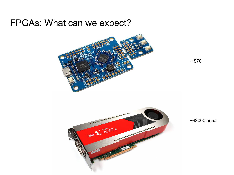#### FPGAs: What can we expect?



O E ANTEO-**U280** 

 $~570$ 

~\$3000 used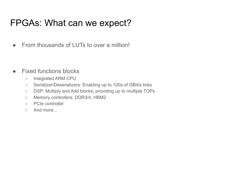## FPGAs: What can we expect?

● From thousands of LUTs to over a million!

- Fixed functions blocks
	- Integrated ARM CPU
	- Serializer/Deserializers: Enabling up to 100s of GBit/s links
	- DSP: Multiply and Add blocks, providing up to multiple TOPs
	- Memory controllers: DDR3/4, HBM2
	- PCIe controller
	- And more...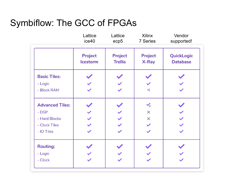## Symbiflow: The GCC of FPGAs

|                        | Lattice<br>ice40           | Lattice<br>ecp5           | <b>Xilinx</b><br>7 Series | Vendor<br>supported!          |
|------------------------|----------------------------|---------------------------|---------------------------|-------------------------------|
|                        | Project<br><b>Icestorm</b> | Project<br><b>Trellis</b> | Project<br>X-Ray          | QuickLogic<br><b>Database</b> |
| <b>Basic Tiles:</b>    |                            |                           |                           |                               |
| - Logic                |                            |                           |                           |                               |
| - Block RAM            |                            |                           | $\checkmark$              |                               |
| <b>Advanced Tiles:</b> |                            |                           | $\checkmark$              |                               |
| - DSP                  | $\checkmark$               |                           | $\times$                  |                               |
| - Hard Blocks          | $\checkmark$               |                           | $\times$                  |                               |
| - Clock Tiles          |                            |                           | $\checkmark$              |                               |
| - IO Tiles             | $\checkmark$               | $\checkmark$              | $\checkmark$              | $\checkmark$                  |
| <b>Routing:</b>        |                            |                           |                           |                               |
| - Logic                |                            |                           |                           |                               |
| - Clock                |                            |                           |                           |                               |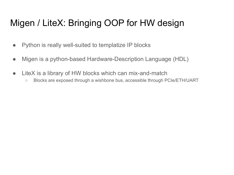## Migen / LiteX: Bringing OOP for HW design

- Python is really well-suited to templatize IP blocks
- Migen is a python-based Hardware-Description Language (HDL)
- LiteX is a library of HW blocks which can mix-and-match
	- Blocks are exposed through a wishbone bus, accessible through PCIe/ETH/UART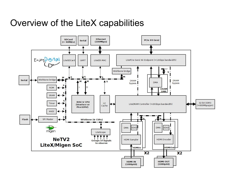#### Overview of the LiteX capabilities

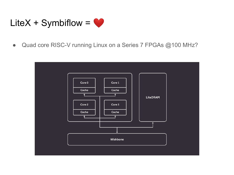

Quad core RISC-V running Linux on a Series 7 FPGAs @100 MHz?  $\bullet$ 

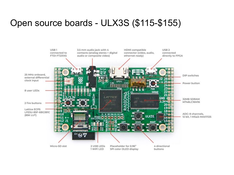#### Open source boards - ULX3S (\$115-\$155)

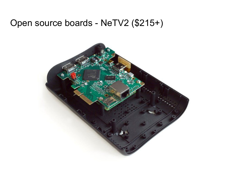## Open source boards - NeTV2 (\$215+)

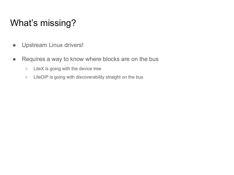## What's missing?

- Upstream Linux drivers!
- Requires a way to know where blocks are on the bus
	- LiteX is going with the device tree
	- LiteDIP is going with discoverability straight on the bus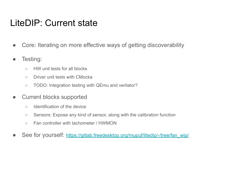## LiteDIP: Current state

- Core: Iterating on more effective ways of getting discoverability
- Testing:
	- HW unit tests for all blocks
	- Driver unit tests with CMocka
	- TODO: Integration testing with QEmu and verilator?
- Current blocks supported
	- Identification of the device
	- Sensors: Expose any kind of sensor, along with the calibration function
	- Fan controller with tachometer / HWMON
- See for yourself: [https://gitlab.freedesktop.org/mupuf/litedip/-/tree/fan\\_wip/](https://gitlab.freedesktop.org/mupuf/litedip/-/tree/fan_wip/)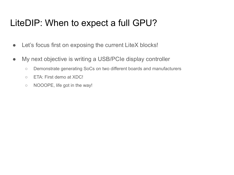## LiteDIP: When to expect a full GPU?

- Let's focus first on exposing the current LiteX blocks!
- My next objective is writing a USB/PCIe display controller
	- Demonstrate generating SoCs on two different boards and manufacturers
	- ETA: First demo at XDC!
	- NOOOPE, life got in the way!